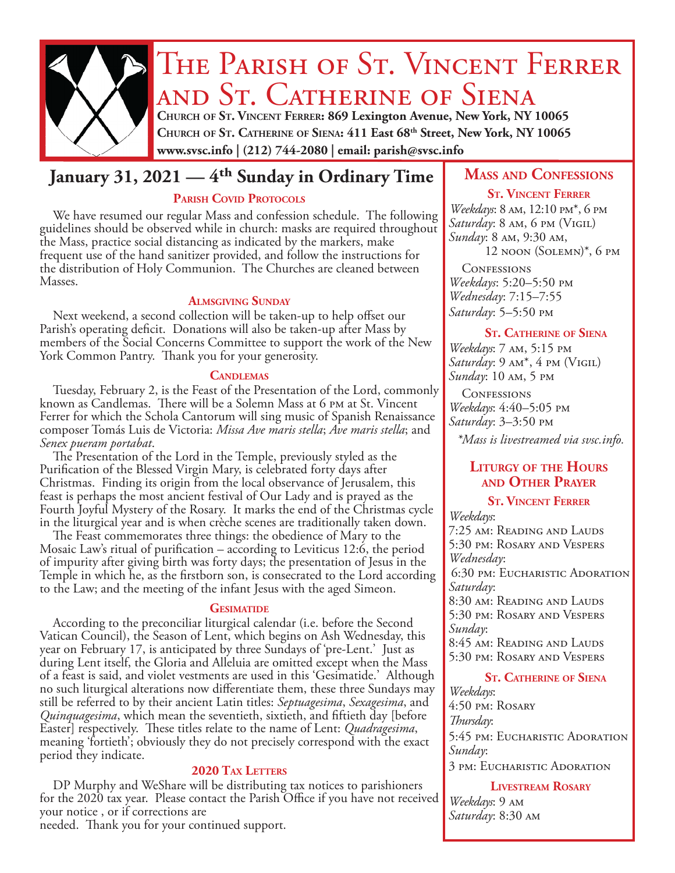

# THE PARISH OF ST. VINCENT FERRER and St. Catherine of Siena

**Church of St. Vincent Ferrer: 869 Lexington Avenue, New York, NY 10065 Church of St. Catherine of Siena: 411 East 68th Street, New York, NY 10065 www.svsc.info | (212) 744-2080 | email: parish@svsc.info**

# **January 31, 2021 — 4<sup>th</sup> Sunday in Ordinary Time | MASS AND CONFESSIONS**

### PARISH COVID PROTOCOLS

We have resumed our regular Mass and confession schedule. The following guidelines should be observed while in church: masks are required throughout the Mass, practice social distancing as indicated by the markers, make frequent use of the hand sanitizer provided, and follow the instructions for the distribution of Holy Communion. The Churches are cleaned between Masses.

#### **Almsgiving Sunday**

Next weekend, a second collection will be taken-up to help offset our Parish's operating deficit. Donations will also be taken-up after Mass by members of the Social Concerns Committee to support the work of the New York Common Pantry. Thank you for your generosity.

#### **Candlemas**

Tuesday, February 2, is the Feast of the Presentation of the Lord, commonly known as Candlemas. There will be a Solemn Mass at 6 pm at St. Vincent Ferrer for which the Schola Cantorum will sing music of Spanish Renaissance composer Tomás Luis de Victoria: *Missa Ave maris stella*; *Ave maris stella*; and *Senex pueram portabat*.

The Presentation of the Lord in the Temple, previously styled as the Purification of the Blessed Virgin Mary, is celebrated forty days after Christmas. Finding its origin from the local observance of Jerusalem, this feast is perhaps the most ancient festival of Our Lady and is prayed as the Fourth Joyful Mystery of the Rosary. It marks the end of the Christmas cycle in the liturgical year and is when crèche scenes are traditionally taken down.

The Feast commemorates three things: the obedience of Mary to the Mosaic Law's ritual of purification – according to Leviticus 12:6, the period of impurity after giving birth was forty days; the presentation of Jesus in the Temple in which he, as the firstborn son, is consecrated to the Lord according to the Law; and the meeting of the infant Jesus with the aged Simeon.

#### **GESIMATIDE**

According to the preconciliar liturgical calendar (i.e. before the Second Vatican Council), the Season of Lent, which begins on Ash Wednesday, this year on February 17, is anticipated by three Sundays of 'pre-Lent.' Just as during Lent itself, the Gloria and Alleluia are omitted except when the Mass of a feast is said, and violet vestments are used in this 'Gesimatide.' Although no such liturgical alterations now differentiate them, these three Sundays may still be referred to by their ancient Latin titles: *Septuagesima*, *Sexagesima*, and *Quinquagesima*, which mean the seventieth, sixtieth, and fiftieth day [before Easter] respectively. These titles relate to the name of Lent: *Quadragesima*, meaning 'fortieth'; obviously they do not precisely correspond with the exact period they indicate.

### 2020 TAX LETTERS

DP Murphy and WeShare will be distributing tax notices to parishioners for the 2020 tax year. Please contact the Parish Office if you have not received your notice , or if corrections are

needed. Thank you for your continued support.

#### **St. Vincent Ferrer**

*Weekdays*: 8 am, 12:10 pm\*, 6 pm *Saturday*: 8 am, 6 pm (Vigil) *Sunday*: 8 am, 9:30 am, 12 noon (Solemn)\*, 6 pm

**CONFESSIONS** *Weekdays*: 5:20–5:50 pm *Wednesday*: 7:15–7:55 *Saturday*: 5–5:50 pm

#### **St. Catherine of Siena**

*Weekdays*: 7 am, 5:15 pm *Saturday*: 9 am\*, 4 pm (Vigil) *Sunday*: 10 am, 5 pm

**CONFESSIONS** *Weekdays*: 4:40–5:05 pm *Saturday*: 3–3:50 pm *\*Mass is livestreamed via svsc.info.*

### **Liturgy of the Hours and Other Prayer**

#### **St. Vincent Ferrer** *Weekdays*: 7:25 am: Reading and Lauds 5:30 pm: Rosary and Vespers *Wednesday*:

6:30 pm: Eucharistic Adoration *Saturday*: 8:30 am: Reading and Lauds 5:30 pm: Rosary and Vespers *Sunday*: 8:45 am: Reading and Lauds

5:30 pm: Rosary and Vespers

#### **St. Catherine of Siena**

*Weekdays*: 4:50 pm: Rosary *Thursday*: 5:45 pm: Eucharistic Adoration *Sunday*: 3 pm: Eucharistic Adoration

**Livestream Rosary**

*Weekdays*: 9 am *Saturday*: 8:30 am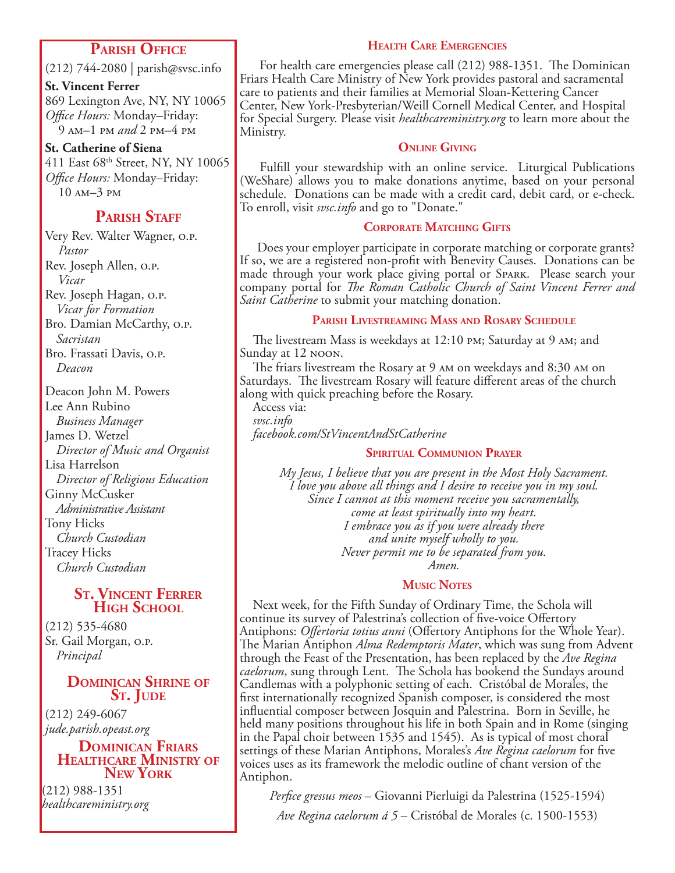### **Parish Office**

(212) 744-2080 | parish@svsc.info

**St. Vincent Ferrer**

869 Lexington Ave, NY, NY 10065 *Office Hours:* Monday–Friday: 9 am–1 pm *and* 2 pm–4 pm

**St. Catherine of Siena** 411 East 68th Street, NY, NY 10065 *Office Hours:* Monday–Friday: 10 am–3 pm

## **PARISH STAFF**

Very Rev. Walter Wagner, o.p. *Pastor* Rev. Joseph Allen, o.p. *Vicar* Rev. Joseph Hagan, o.p. *Vicar for Formation* Bro. Damian McCarthy, o.p. *Sacristan* Bro. Frassati Davis, o.p. *Deacon*

Deacon John M. Powers Lee Ann Rubino *Business Manager* James D. Wetzel *Director of Music and Organist* Lisa Harrelson *Director of Religious Education* Ginny McCusker *Administrative Assistant* Tony Hicks *Church Custodian* Tracey Hicks *Church Custodian*

#### **St. Vincent Ferrer High School**

(212) 535-4680 Sr. Gail Morgan, o.p. *Principal*

### **Dominican Shrine of** S<sub>T</sub>. JUDE

(212) 249-6067 *jude.parish.opeast.org*

#### **Dominican Friars Healthcare Ministry of New York**

(212) 988-1351 *healthcareministry.org*

#### **Health Care Emergencies**

 For health care emergencies please call (212) 988-1351. The Dominican Friars Health Care Ministry of New York provides pastoral and sacramental care to patients and their families at Memorial Sloan-Kettering Cancer Center, New York-Presbyterian/Weill Cornell Medical Center, and Hospital for Special Surgery. Please visit *healthcareministry.org* to learn more about the Ministry.

#### **Online Giving**

 Fulfill your stewardship with an online service. Liturgical Publications (WeShare) allows you to make donations anytime, based on your personal schedule. Donations can be made with a credit card, debit card, or e-check. To enroll, visit *svsc.info* and go to "Donate."

### **Corporate Matching Gifts**

 Does your employer participate in corporate matching or corporate grants? If so, we are a registered non-profit with Benevity Causes. Donations can be made through your work place giving portal or Spark. Please search your company portal for *The Roman Catholic Church of Saint Vincent Ferrer and Saint Catherine* to submit your matching donation.

#### **Parish Livestreaming Mass and Rosary Schedule**

The livestream Mass is weekdays at 12:10 pm; Saturday at 9 am; and Sunday at 12 noon.

The friars livestream the Rosary at 9 am on weekdays and 8:30 am on Saturdays. The livestream Rosary will feature different areas of the church along with quick preaching before the Rosary.

Access via: *svsc.info facebook.com/StVincentAndStCatherine*

#### **Spiritual Communion Prayer**

*My Jesus, I believe that you are present in the Most Holy Sacrament. I love you above all things and I desire to receive you in my soul. Since I cannot at this moment receive you sacramentally, come at least spiritually into my heart. I embrace you as if you were already there and unite myself wholly to you. Never permit me to be separated from you. Amen.*

#### **Music Notes**

Next week, for the Fifth Sunday of Ordinary Time, the Schola will continue its survey of Palestrina's collection of five-voice Offertory Antiphons: *Offertoria totius anni* (Offertory Antiphons for the Whole Year). The Marian Antiphon *Alma Redemptoris Mater*, which was sung from Advent through the Feast of the Presentation, has been replaced by the *Ave Regina caelorum*, sung through Lent. The Schola has bookend the Sundays around Candlemas with a polyphonic setting of each. Cristóbal de Morales, the first internationally recognized Spanish composer, is considered the most influential composer between Josquin and Palestrina. Born in Seville, he held many positions throughout his life in both Spain and in Rome (singing in the Papal choir between 1535 and 1545). As is typical of most choral settings of these Marian Antiphons, Morales's *Ave Regina caelorum* for five voices uses as its framework the melodic outline of chant version of the Antiphon.

*Perfice gressus meos* – Giovanni Pierluigi da Palestrina (1525-1594)

*Ave Regina caelorum á 5* – Cristóbal de Morales (c. 1500-1553)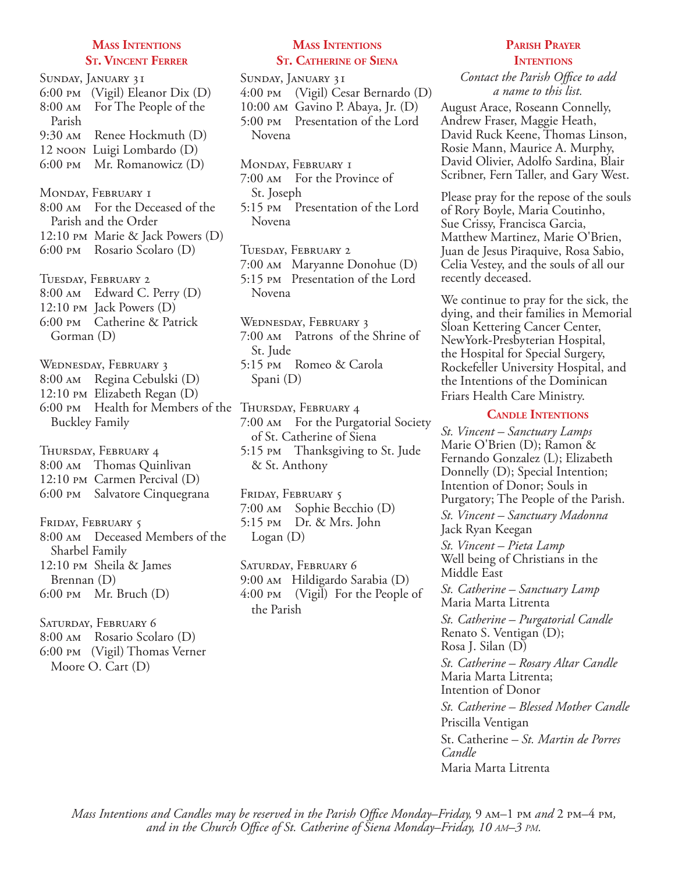#### **Mass Intentions St. Vincent Ferrer**

Sunday, January 31 6:00 pm (Vigil) Eleanor Dix (D) 8:00 am For The People of the Parish 9:30 am Renee Hockmuth (D) 12 noon Luigi Lombardo (D) 6:00 pm Mr. Romanowicz (D) MONDAY, FEBRUARY I 8:00 am For the Deceased of the Parish and the Order 12:10 pm Marie & Jack Powers (D) 6:00 pm Rosario Scolaro (D) Tuesday, February 2 8:00 am Edward C. Perry (D) 12:10 pm Jack Powers (D) 6:00 pm Catherine & Patrick Gorman (D) Wednesday, February 3 8:00 am Regina Cebulski (D) 12:10 pm Elizabeth Regan (D) 6:00 PM Health for Members of the THURSDAY, FEBRUARY 4 Buckley Family Thursday, February 4 8:00 am Thomas Quinlivan 12:10 pm Carmen Percival (D) 6:00 pm Salvatore Cinquegrana FRIDAY, FEBRUARY 5 8:00 am Deceased Members of the Sharbel Family 12:10 pm Sheila & James Brennan (D) 6:00 pm Mr. Bruch (D) SATURDAY, FEBRUARY 6 8:00 am Rosario Scolaro (D) 6:00 pm (Vigil) Thomas Verner

Moore O. Cart (D)

#### **Mass Intentions St. Catherine of Siena**

Sunday, January 31 4:00 pm (Vigil) Cesar Bernardo (D) 10:00 am Gavino P. Abaya, Jr. (D) 5:00 pm Presentation of the Lord Novena

MONDAY, FEBRUARY I 7:00 am For the Province of St. Joseph

5:15 pm Presentation of the Lord Novena

Tuesday, February 2 7:00 am Maryanne Donohue (D) 5:15 pm Presentation of the Lord Novena

Wednesday, February 3 7:00 am Patrons of the Shrine of St. Jude 5:15 pm Romeo & Carola Spani (D)

7:00 am For the Purgatorial Society of St. Catherine of Siena 5:15 pm Thanksgiving to St. Jude & St. Anthony

FRIDAY, FEBRUARY 5 7:00 am Sophie Becchio (D) 5:15 pm Dr. & Mrs. John Logan (D)

Saturday, February 6 9:00 am Hildigardo Sarabia (D) 4:00 pm (Vigil) For the People of the Parish

#### **Parish Prayer INTENTIONS**

*Contact the Parish Office to add a name to this list.*

August Arace, Roseann Connelly, Andrew Fraser, Maggie Heath, David Ruck Keene, Thomas Linson, Rosie Mann, Maurice A. Murphy, David Olivier, Adolfo Sardina, Blair Scribner, Fern Taller, and Gary West.

Please pray for the repose of the souls of Rory Boyle, Maria Coutinho, Sue Crissy, Francisca Garcia, Matthew Martinez, Marie O'Brien, Juan de Jesus Piraquive, Rosa Sabio, Celia Vestey, and the souls of all our recently deceased.

We continue to pray for the sick, the dying, and their families in Memorial Sloan Kettering Cancer Center, NewYork-Presbyterian Hospital, the Hospital for Special Surgery, Rockefeller University Hospital, and the Intentions of the Dominican Friars Health Care Ministry.

#### **Candle Intentions**

*St. Vincent – Sanctuary Lamps*  Marie O'Brien (D); Ramon & Fernando Gonzalez (L); Elizabeth Donnelly (D); Special Intention; Intention of Donor; Souls in Purgatory; The People of the Parish.

*St. Vincent – Sanctuary Madonna* Jack Ryan Keegan

*St. Vincent – Pieta Lamp* Well being of Christians in the Middle East

*St. Catherine – Sanctuary Lamp*  Maria Marta Litrenta

*St. Catherine – Purgatorial Candle*  Renato S. Ventigan (D); Rosa J. Silan (D) *St. Catherine – Rosary Altar Candle* Maria Marta Litrenta; Intention of Donor *St. Catherine – Blessed Mother Candle* Priscilla Ventigan St. Catherine *– St. Martin de Porres Candle*  Maria Marta Litrenta

*Mass Intentions and Candles may be reserved in the Parish Office Monday–Friday,* 9  $\mu$ –1 pm *and* 2 pm–4 pm, *and in the Church Office of St. Catherine of Siena Monday–Friday, 10 am–3 pm.*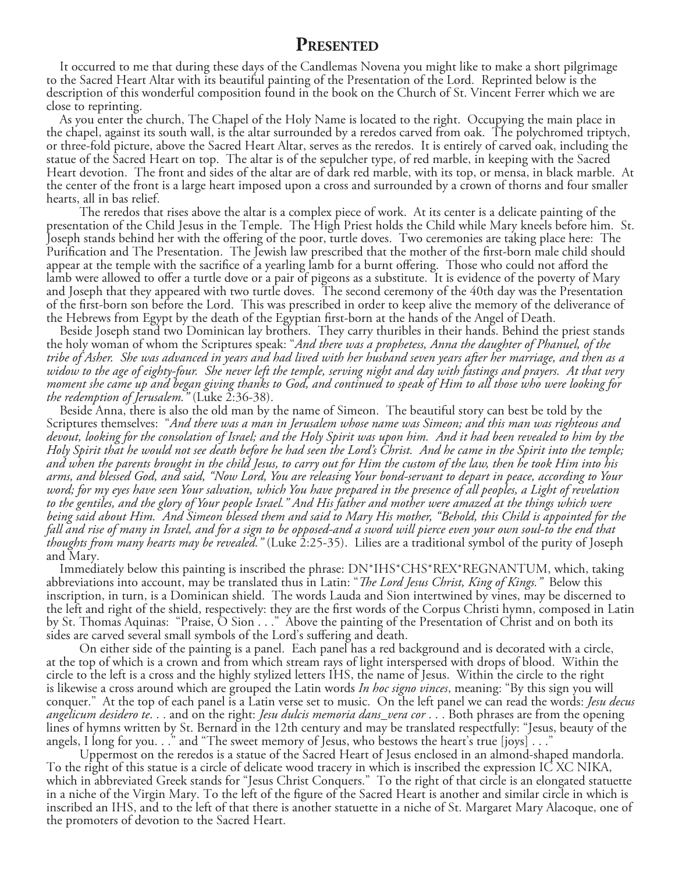### **Presented**

It occurred to me that during these days of the Candlemas Novena you might like to make a short pilgrimage to the Sacred Heart Altar with its beautiful painting of the Presentation of the Lord. Reprinted below is the description of this wonderful composition found in the book on the Church of St. Vincent Ferrer which we are close to reprinting.

 As you enter the church, The Chapel of the Holy Name is located to the right. Occupying the main place in the chapel, against its south wall, is the altar surrounded by a reredos carved from oak. The polychromed triptych, or three-fold picture, above the Sacred Heart Altar, serves as the reredos. It is entirely of carved oak, including the statue of the Sacred Heart on top. The altar is of the sepulcher type, of red marble, in keeping with the Sacred Heart devotion. The front and sides of the altar are of dark red marble, with its top, or mensa, in black marble. At the center of the front is a large heart imposed upon a cross and surrounded by a crown of thorns and four smaller hearts, all in bas relief.

The reredos that rises above the altar is a complex piece of work. At its center is a delicate painting of the presentation of the Child Jesus in the Temple. The High Priest holds the Child while Mary kneels before him. St. Joseph stands behind her with the offering of the poor, turtle doves. Two ceremonies are taking place here: The Purification and The Presentation. The Jewish law prescribed that the mother of the first-born male child should appear at the temple with the sacrifice of a yearling lamb for a burnt offering. Those who could not afford the lamb were allowed to offer a turtle dove or a pair of pigeons as a substitute. It is evidence of the poverty of Mary and Joseph that they appeared with two turtle doves. The second ceremony of the 40th day was the Presentation of the first-born son before the Lord. This was prescribed in order to keep alive the memory of the deliverance of the Hebrews from Egypt by the death of the Egyptian first-born at the hands of the Angel of Death.

Beside Joseph stand two Dominican lay brothers. They carry thuribles in their hands. Behind the priest stands the holy woman of whom the Scriptures speak: "*And there was a prophetess, Anna the daughter of Phanuel, of the tribe of Asher. She was advanced in years and had lived with her husband seven years after her marriage, and then as a widow to the age of eighty-four. She never left the temple, serving night and day with fastings and prayers. At that very moment she came up and began giving thanks to God, and continued to speak of Him to all those who were looking for the redemption of Jerusalem."* (Luke 2:36-38).

Beside Anna, there is also the old man by the name of Simeon. The beautiful story can best be told by the Scriptures themselves: "*And there was a man in Jerusalem whose name was Simeon; and this man was righteous and devout, looking for the consolation of Israel; and the Holy Spirit was upon him. And it had been revealed to him by the Holy Spirit that he would not see death before he had seen the Lord's Christ. And he came in the Spirit into the temple; and when the parents brought in the child Jesus, to carry out for Him the custom of the law, then he took Him into his arms, and blessed God, and said, "Now Lord, You are releasing Your bond-servant to depart in peace, according to Your word; for my eyes have seen Your salvation, which You have prepared in the presence of all peoples, a Light of revelation*  to the gentiles, and the glory of Your people Israel." And His father and mother were amazed at the things which were *being said about Him. And Simeon blessed them and said to Mary His mother, "Behold, this Child is appointed for the fall and rise of many in Israel, and for a sign to be opposed-and a sword will pierce even your own soul-to the end that thoughts from many hearts may be revealed."* (Luke 2:25-35). Lilies are a traditional symbol of the purity of Joseph and Mary.

Immediately below this painting is inscribed the phrase: DN\*IHS\*CHS\*REX\*REGNANTUM, which, taking abbreviations into account, may be translated thus in Latin: "*The Lord Jesus Christ, King of Kings."* Below this inscription, in turn, is a Dominican shield. The words Lauda and Sion intertwined by vines, may be discerned to the left and right of the shield, respectively: they are the first words of the Corpus Christi hymn, composed in Latin by St. Thomas Aquinas: "Praise, O Sion . . ." Above the painting of the Presentation of Christ and on both its sides are carved several small symbols of the Lord's suffering and death.

On either side of the painting is a panel. Each panel has a red background and is decorated with a circle, at the top of which is a crown and from which stream rays of light interspersed with drops of blood. Within the circle to the left is a cross and the highly stylized letters IHS, the name of Jesus. Within the circle to the right is likewise a cross around which are grouped the Latin words *In hoc signo vinces*, meaning: "By this sign you will conquer." At the top of each panel is a Latin verse set to music. On the left panel we can read the words: *Jesu decus angelicum desidero te*. . . and on the right: *Jesu dulcis memoria dans\_vera cor* . . . Both phrases are from the opening lines of hymns written by St. Bernard in the 12th century and may be translated respectfully: "Jesus, beauty of the angels, I long for you. . ." and "The sweet memory of Jesus, who bestows the heart's true [joys] . . ."

 Uppermost on the reredos is a statue of the Sacred Heart of Jesus enclosed in an almond-shaped mandorla. To the right of this statue is a circle of delicate wood tracery in which is inscribed the expression IC XC NIKA, which in abbreviated Greek stands for "Jesus Christ Conquers." To the right of that circle is an elongated statuette in a niche of the Virgin Mary. To the left of the figure of the Sacred Heart is another and similar circle in which is inscribed an IHS, and to the left of that there is another statuette in a niche of St. Margaret Mary Alacoque, one of the promoters of devotion to the Sacred Heart.